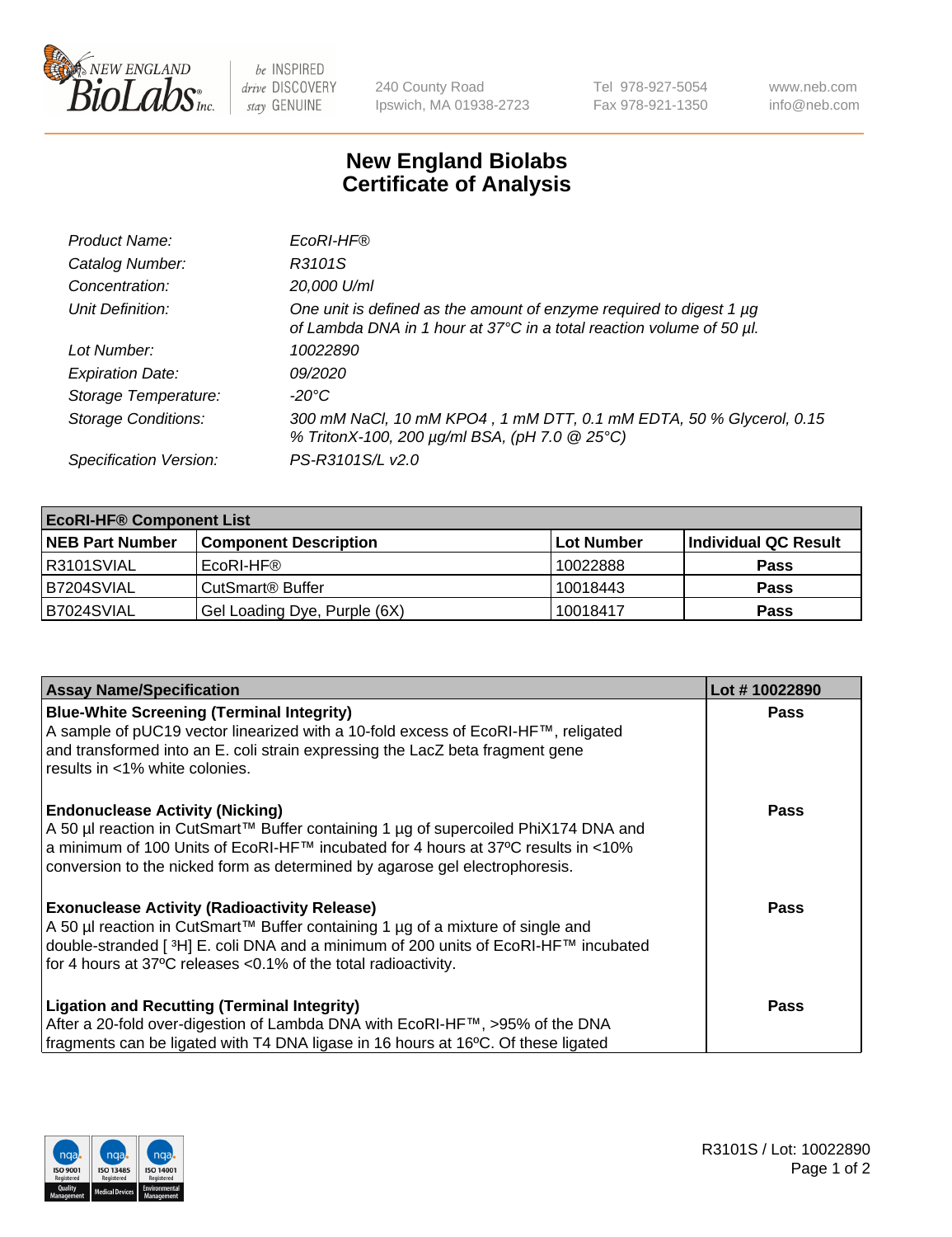

 $be$  INSPIRED drive DISCOVERY stay GENUINE

240 County Road Ipswich, MA 01938-2723 Tel 978-927-5054 Fax 978-921-1350 www.neb.com info@neb.com

## **New England Biolabs Certificate of Analysis**

| Product Name:              | EcoRI-HF®                                                                                                                                   |
|----------------------------|---------------------------------------------------------------------------------------------------------------------------------------------|
| Catalog Number:            | R3101S                                                                                                                                      |
| Concentration:             | 20,000 U/ml                                                                                                                                 |
| Unit Definition:           | One unit is defined as the amount of enzyme required to digest 1 µg<br>of Lambda DNA in 1 hour at 37°C in a total reaction volume of 50 µl. |
| Lot Number:                | 10022890                                                                                                                                    |
| <b>Expiration Date:</b>    | 09/2020                                                                                                                                     |
| Storage Temperature:       | -20°C                                                                                                                                       |
| <b>Storage Conditions:</b> | 300 mM NaCl, 10 mM KPO4, 1 mM DTT, 0.1 mM EDTA, 50 % Glycerol, 0.15<br>% TritonX-100, 200 µg/ml BSA, (pH 7.0 @ 25°C)                        |
| Specification Version:     | PS-R3101S/L v2.0                                                                                                                            |

| <b>EcoRI-HF® Component List</b> |                              |            |                      |  |
|---------------------------------|------------------------------|------------|----------------------|--|
| <b>NEB Part Number</b>          | <b>Component Description</b> | Lot Number | Individual QC Result |  |
| IR3101SVIAL                     | EcoRI-HF®                    | 10022888   | <b>Pass</b>          |  |
| B7204SVIAL                      | CutSmart <sup>®</sup> Buffer | 10018443   | <b>Pass</b>          |  |
| B7024SVIAL                      | Gel Loading Dye, Purple (6X) | 10018417   | <b>Pass</b>          |  |

| <b>Assay Name/Specification</b>                                                                                                                                                                                                                                                                               | Lot #10022890 |
|---------------------------------------------------------------------------------------------------------------------------------------------------------------------------------------------------------------------------------------------------------------------------------------------------------------|---------------|
| <b>Blue-White Screening (Terminal Integrity)</b><br>A sample of pUC19 vector linearized with a 10-fold excess of EcoRI-HF™, religated<br>and transformed into an E. coli strain expressing the LacZ beta fragment gene<br>results in <1% white colonies.                                                      | <b>Pass</b>   |
| <b>Endonuclease Activity (Nicking)</b><br>A 50 µl reaction in CutSmart™ Buffer containing 1 µg of supercoiled PhiX174 DNA and<br>  a minimum of 100 Units of EcoRI-HF™ incubated for 4 hours at 37°C results in <10%<br>conversion to the nicked form as determined by agarose gel electrophoresis.           | <b>Pass</b>   |
| <b>Exonuclease Activity (Radioactivity Release)</b><br>  A 50 µl reaction in CutSmart™ Buffer containing 1 µg of a mixture of single and<br>double-stranded [ <sup>3</sup> H] E. coli DNA and a minimum of 200 units of EcoRI-HF™ incubated<br>for 4 hours at 37°C releases <0.1% of the total radioactivity. | Pass          |
| <b>Ligation and Recutting (Terminal Integrity)</b><br>After a 20-fold over-digestion of Lambda DNA with EcoRI-HF™, >95% of the DNA<br>fragments can be ligated with T4 DNA ligase in 16 hours at 16°C. Of these ligated                                                                                       | <b>Pass</b>   |